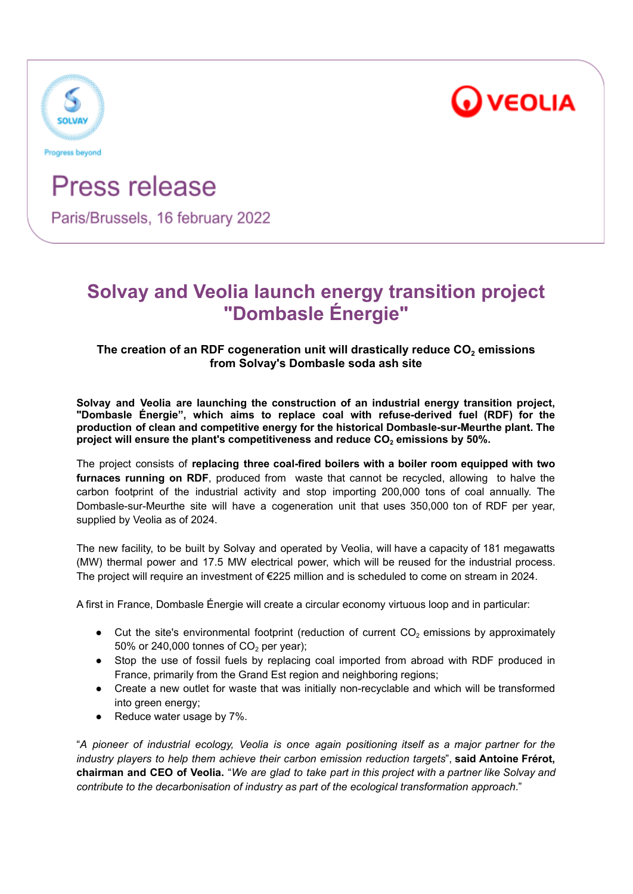



# Press release

Paris/Brussels, 16 february 2022

## **Solvay and Veolia launch energy transition project "Dombasle Énergie"**

### **The creation of an RDF cogeneration unit will drastically reduce CO<sup>2</sup> emissions from Solvay's Dombasle soda ash site**

**Solvay and Veolia are launching the construction of an industrial energy transition project, "Dombasle Énergie", which aims to replace coal with refuse-derived fuel (RDF) for the production of clean and competitive energy for the historical Dombasle-sur-Meurthe plant. The project will ensure the plant's competitiveness and reduce CO<sup>2</sup> emissions by 50%.**

The project consists of **replacing three coal-fired boilers with a boiler room equipped with two furnaces running on RDF**, produced from waste that cannot be recycled, allowing to halve the carbon footprint of the industrial activity and stop importing 200,000 tons of coal annually. The Dombasle-sur-Meurthe site will have a cogeneration unit that uses 350,000 ton of RDF per year, supplied by Veolia as of 2024.

The new facility, to be built by Solvay and operated by Veolia, will have a capacity of 181 megawatts (MW) thermal power and 17.5 MW electrical power, which will be reused for the industrial process. The project will require an investment of €225 million and is scheduled to come on stream in 2024.

A first in France, Dombasle Énergie will create a circular economy virtuous loop and in particular:

- Cut the site's environmental footprint (reduction of current  $CO<sub>2</sub>$  emissions by approximately 50% or 240,000 tonnes of  $CO<sub>2</sub>$  per year):
- Stop the use of fossil fuels by replacing coal imported from abroad with RDF produced in France, primarily from the Grand Est region and neighboring regions;
- Create a new outlet for waste that was initially non-recyclable and which will be transformed into green energy;
- Reduce water usage by 7%.

"*A pioneer of industrial ecology, Veolia is once again positioning itself as a major partner for the industry players to help them achieve their carbon emission reduction targets*", **said Antoine Frérot,** chairman and CEO of Veolia. "We are glad to take part in this project with a partner like Solvay and *contribute to the decarbonisation of industry as part of the ecological transformation approach*."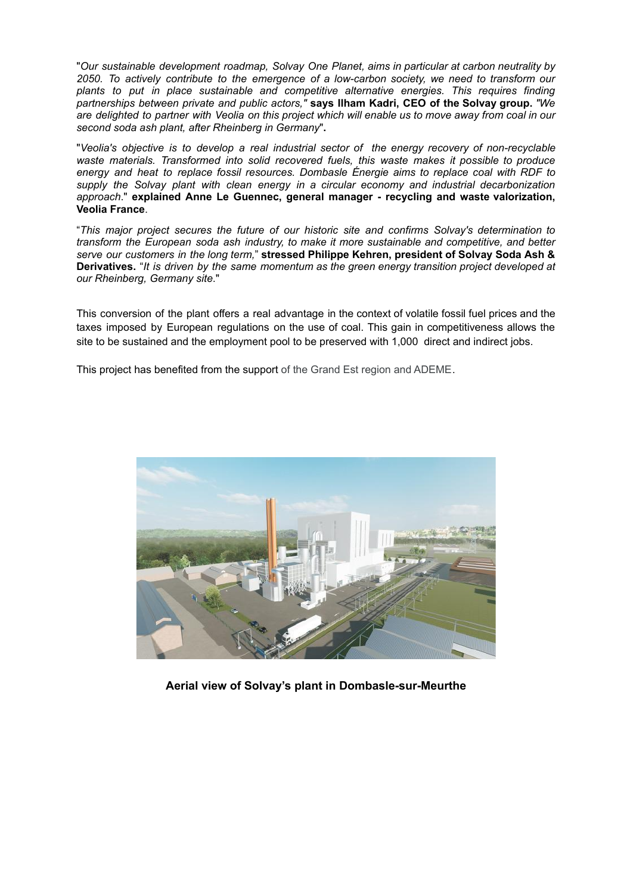"*Our sustainable development roadmap, Solvay One Planet, aims in particular at carbon neutrality by 2050. To actively contribute to the emergence of a low-carbon society, we need to transform our plants to put in place sustainable and competitive alternative energies. This requires finding partnerships between private and public actors,"* **says Ilham Kadri, CEO of the Solvay group.** *"We* are delighted to partner with Veolia on this project which will enable us to move away from coal in our *second soda ash plant, after Rheinberg in Germany*"**.**

"*Veolia's objective is to develop a real industrial sector of the energy recovery of non-recyclable waste materials. Transformed into solid recovered fuels, this waste makes it possible to produce energy and heat to replace fossil resources. Dombasle Énergie aims to replace coal with RDF to supply the Solvay plant with clean energy in a circular economy and industrial decarbonization approach*." **explained Anne Le Guennec, general manager - recycling and waste valorization, Veolia France**.

"*This major project secures the future of our historic site and confirms Solvay's determination to transform the European soda ash industry, to make it more sustainable and competitive, and better serve our customers in the long term,*" **stressed Philippe Kehren, president of Solvay Soda Ash & Derivatives.** "*It is driven by the same momentum as the green energy transition project developed at our Rheinberg, Germany site*."

This conversion of the plant offers a real advantage in the context of volatile fossil fuel prices and the taxes imposed by European regulations on the use of coal. This gain in competitiveness allows the site to be sustained and the employment pool to be preserved with 1,000 direct and indirect jobs.

This project has benefited from the support of the Grand Est region and ADEME.



**Aerial view of Solvay's plant in Dombasle-sur-Meurthe**